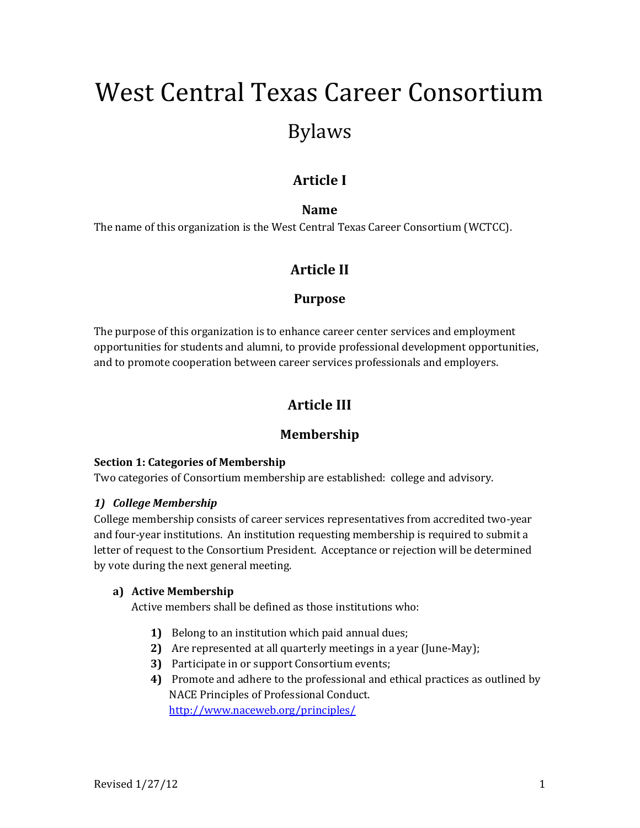# West Central Texas Career Consortium Bylaws

# **Article I**

## **Name**

The name of this organization is the West Central Texas Career Consortium (WCTCC).

# **Article II**

## **Purpose**

The purpose of this organization is to enhance career center services and employment opportunities for students and alumni, to provide professional development opportunities, and to promote cooperation between career services professionals and employers.

# **Article III**

## **Membership**

## **Section 1: Categories of Membership**

Two categories of Consortium membership are established: college and advisory.

## *1) College Membership*

College membership consists of career services representatives from accredited two-year and four-year institutions. An institution requesting membership is required to submit a letter of request to the Consortium President. Acceptance or rejection will be determined by vote during the next general meeting.

## **a) Active Membership**

Active members shall be defined as those institutions who:

- **1)** Belong to an institution which paid annual dues;
- **2)** Are represented at all quarterly meetings in a year (June-May);
- **3)** Participate in or support Consortium events;
- **4)** Promote and adhere to the professional and ethical practices as outlined by NACE Principles of Professional Conduct. <http://www.naceweb.org/principles/>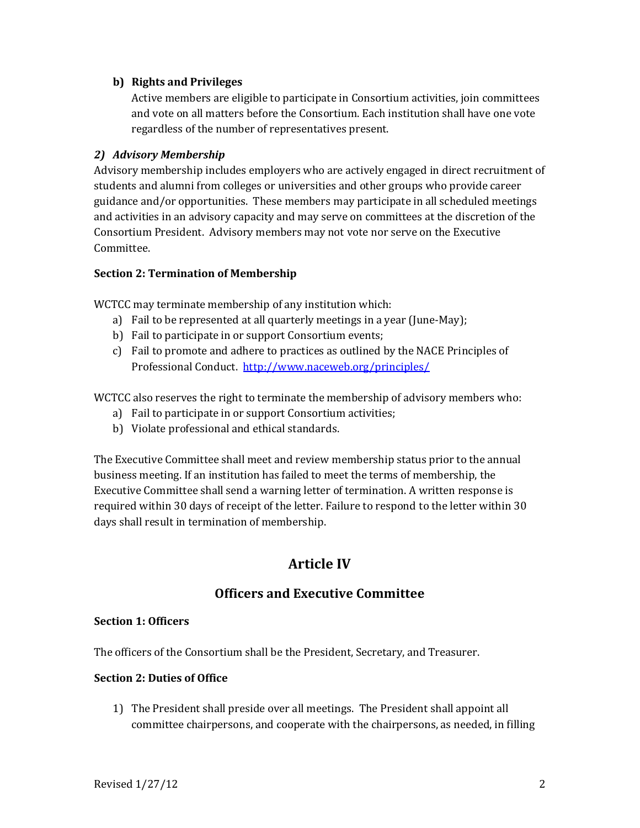## **b) Rights and Privileges**

Active members are eligible to participate in Consortium activities, join committees and vote on all matters before the Consortium. Each institution shall have one vote regardless of the number of representatives present.

#### *2) Advisory Membership*

Advisory membership includes employers who are actively engaged in direct recruitment of students and alumni from colleges or universities and other groups who provide career guidance and/or opportunities. These members may participate in all scheduled meetings and activities in an advisory capacity and may serve on committees at the discretion of the Consortium President. Advisory members may not vote nor serve on the Executive Committee.

#### **Section 2: Termination of Membership**

WCTCC may terminate membership of any institution which:

- a) Fail to be represented at all quarterly meetings in a year (June-May);
- b) Fail to participate in or support Consortium events;
- c) Fail to promote and adhere to practices as outlined by the NACE Principles of Professional Conduct.<http://www.naceweb.org/principles/>

WCTCC also reserves the right to terminate the membership of advisory members who:

- a) Fail to participate in or support Consortium activities;
- b) Violate professional and ethical standards.

The Executive Committee shall meet and review membership status prior to the annual business meeting. If an institution has failed to meet the terms of membership, the Executive Committee shall send a warning letter of termination. A written response is required within 30 days of receipt of the letter. Failure to respond to the letter within 30 days shall result in termination of membership.

## **Article IV**

## **Officers and Executive Committee**

#### **Section 1: Officers**

The officers of the Consortium shall be the President, Secretary, and Treasurer.

## **Section 2: Duties of Office**

1) The President shall preside over all meetings. The President shall appoint all committee chairpersons, and cooperate with the chairpersons, as needed, in filling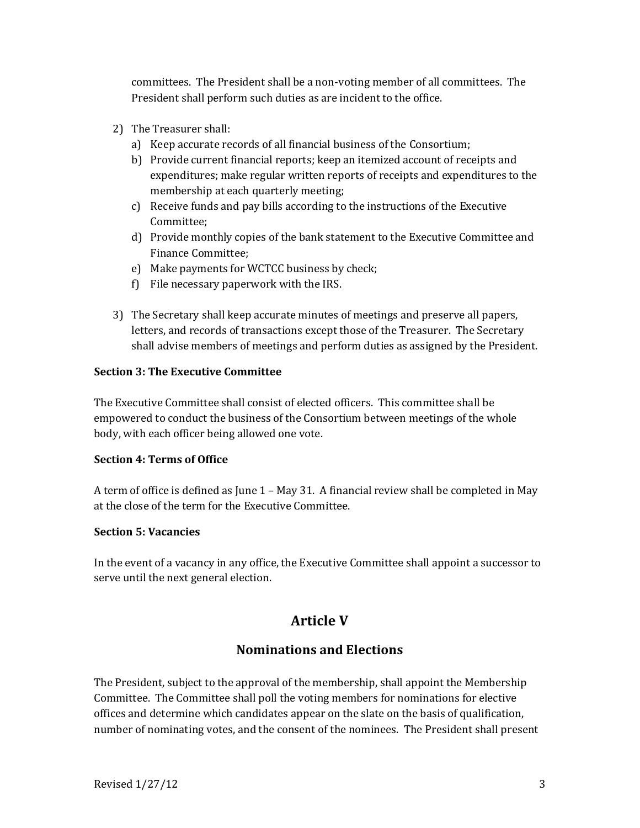committees. The President shall be a non-voting member of all committees. The President shall perform such duties as are incident to the office.

- 2) The Treasurer shall:
	- a) Keep accurate records of all financial business of the Consortium;
	- b) Provide current financial reports; keep an itemized account of receipts and expenditures; make regular written reports of receipts and expenditures to the membership at each quarterly meeting;
	- c) Receive funds and pay bills according to the instructions of the Executive Committee;
	- d) Provide monthly copies of the bank statement to the Executive Committee and Finance Committee;
	- e) Make payments for WCTCC business by check;
	- f) File necessary paperwork with the IRS.
- 3) The Secretary shall keep accurate minutes of meetings and preserve all papers, letters, and records of transactions except those of the Treasurer. The Secretary shall advise members of meetings and perform duties as assigned by the President.

## **Section 3: The Executive Committee**

The Executive Committee shall consist of elected officers. This committee shall be empowered to conduct the business of the Consortium between meetings of the whole body, with each officer being allowed one vote.

## **Section 4: Terms of Office**

A term of office is defined as June 1 – May 31. A financial review shall be completed in May at the close of the term for the Executive Committee.

## **Section 5: Vacancies**

In the event of a vacancy in any office, the Executive Committee shall appoint a successor to serve until the next general election.

## **Article V**

## **Nominations and Elections**

The President, subject to the approval of the membership, shall appoint the Membership Committee. The Committee shall poll the voting members for nominations for elective offices and determine which candidates appear on the slate on the basis of qualification, number of nominating votes, and the consent of the nominees. The President shall present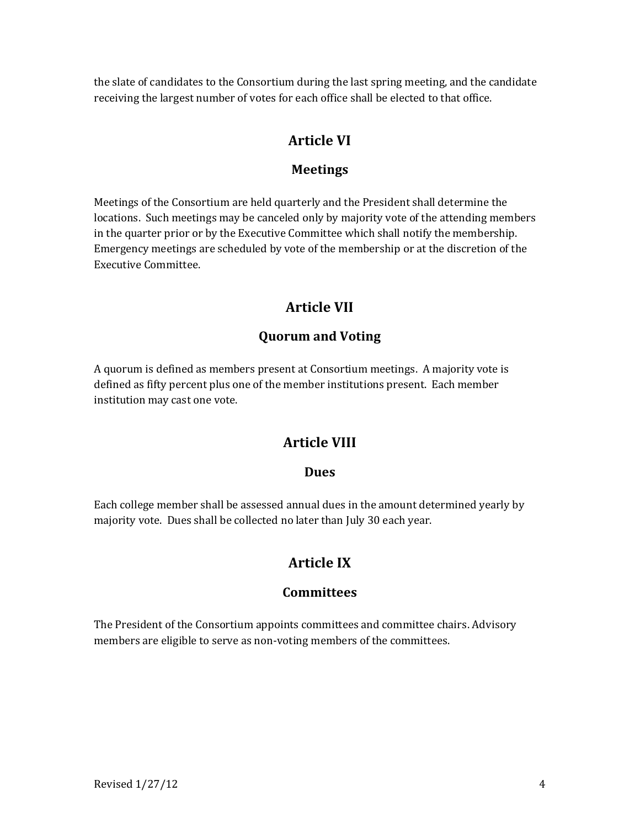the slate of candidates to the Consortium during the last spring meeting, and the candidate receiving the largest number of votes for each office shall be elected to that office.

# **Article VI**

## **Meetings**

Meetings of the Consortium are held quarterly and the President shall determine the locations. Such meetings may be canceled only by majority vote of the attending members in the quarter prior or by the Executive Committee which shall notify the membership. Emergency meetings are scheduled by vote of the membership or at the discretion of the Executive Committee.

# **Article VII**

## **Quorum and Voting**

A quorum is defined as members present at Consortium meetings. A majority vote is defined as fifty percent plus one of the member institutions present. Each member institution may cast one vote.

## **Article VIII**

## **Dues**

Each college member shall be assessed annual dues in the amount determined yearly by majority vote. Dues shall be collected no later than July 30 each year.

# **Article IX**

## **Committees**

The President of the Consortium appoints committees and committee chairs. Advisory members are eligible to serve as non-voting members of the committees.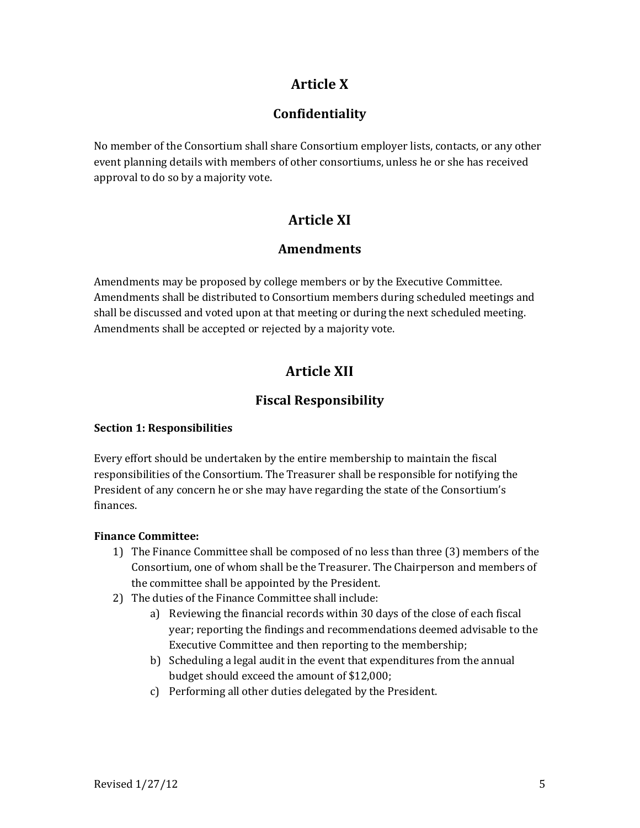# **Article X**

# **Confidentiality**

No member of the Consortium shall share Consortium employer lists, contacts, or any other event planning details with members of other consortiums, unless he or she has received approval to do so by a majority vote.

# **Article XI**

## **Amendments**

Amendments may be proposed by college members or by the Executive Committee. Amendments shall be distributed to Consortium members during scheduled meetings and shall be discussed and voted upon at that meeting or during the next scheduled meeting. Amendments shall be accepted or rejected by a majority vote.

# **Article XII**

# **Fiscal Responsibility**

## **Section 1: Responsibilities**

Every effort should be undertaken by the entire membership to maintain the fiscal responsibilities of the Consortium. The Treasurer shall be responsible for notifying the President of any concern he or she may have regarding the state of the Consortium's finances.

## **Finance Committee:**

- 1) The Finance Committee shall be composed of no less than three (3) members of the Consortium, one of whom shall be the Treasurer. The Chairperson and members of the committee shall be appointed by the President.
- 2) The duties of the Finance Committee shall include:
	- a) Reviewing the financial records within 30 days of the close of each fiscal year; reporting the findings and recommendations deemed advisable to the Executive Committee and then reporting to the membership;
	- b) Scheduling a legal audit in the event that expenditures from the annual budget should exceed the amount of \$12,000;
	- c) Performing all other duties delegated by the President.